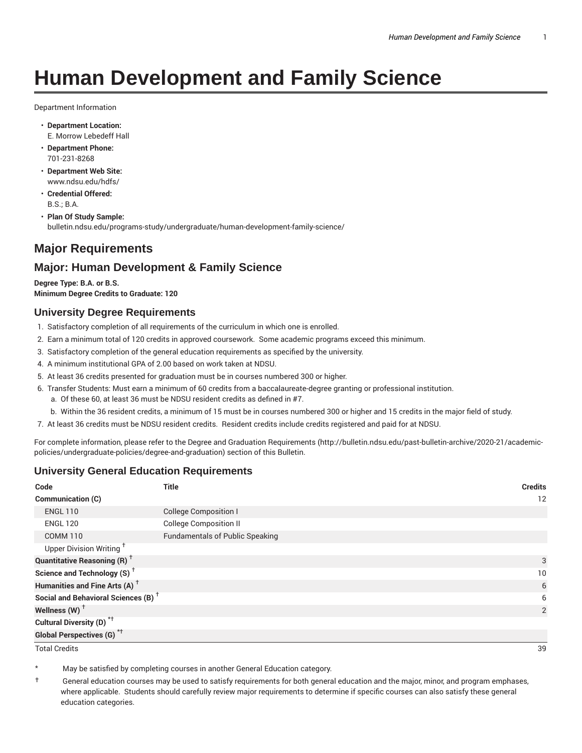# **Human Development and Family Science**

Department Information

- **Department Location:** E. Morrow Lebedeff Hall
- **Department Phone:** 701-231-8268
- **Department Web Site:** www.ndsu.edu/hdfs/
- **Credential Offered:** B.S.; B.A.
- **Plan Of Study Sample:** bulletin.ndsu.edu/programs-study/undergraduate/human-development-family-science/

# **Major Requirements**

# **Major: Human Development & Family Science**

**Degree Type: B.A. or B.S. Minimum Degree Credits to Graduate: 120**

#### **University Degree Requirements**

- 1. Satisfactory completion of all requirements of the curriculum in which one is enrolled.
- 2. Earn a minimum total of 120 credits in approved coursework. Some academic programs exceed this minimum.
- 3. Satisfactory completion of the general education requirements as specified by the university.
- 4. A minimum institutional GPA of 2.00 based on work taken at NDSU.
- 5. At least 36 credits presented for graduation must be in courses numbered 300 or higher.
- 6. Transfer Students: Must earn a minimum of 60 credits from a baccalaureate-degree granting or professional institution.
	- a. Of these 60, at least 36 must be NDSU resident credits as defined in #7.
	- b. Within the 36 resident credits, a minimum of 15 must be in courses numbered 300 or higher and 15 credits in the major field of study.
- 7. At least 36 credits must be NDSU resident credits. Resident credits include credits registered and paid for at NDSU.

For complete information, please refer to the Degree and Graduation Requirements (http://bulletin.ndsu.edu/past-bulletin-archive/2020-21/academicpolicies/undergraduate-policies/degree-and-graduation) section of this Bulletin.

# **University General Education Requirements**

| Code                                            | Title                                  | <b>Credits</b>  |
|-------------------------------------------------|----------------------------------------|-----------------|
| Communication (C)                               |                                        | 12              |
| <b>ENGL 110</b>                                 | <b>College Composition I</b>           |                 |
| <b>ENGL 120</b>                                 | <b>College Composition II</b>          |                 |
| <b>COMM 110</b>                                 | <b>Fundamentals of Public Speaking</b> |                 |
| Upper Division Writing <sup>+</sup>             |                                        |                 |
| <b>Quantitative Reasoning (R)</b> <sup>†</sup>  |                                        | 3               |
| Science and Technology (S) <sup>+</sup>         |                                        | 10 <sup>°</sup> |
| Humanities and Fine Arts (A) <sup>+</sup>       |                                        | 6               |
| Social and Behavioral Sciences (B) <sup>+</sup> |                                        | 6               |
| Wellness $(W)$ <sup>+</sup>                     |                                        | 2               |
| Cultural Diversity (D) <sup>*†</sup>            |                                        |                 |
| <b>Global Perspectives (G)<sup>*†</sup></b>     |                                        |                 |

Total Credits 39

May be satisfied by completing courses in another General Education category.

† General education courses may be used to satisfy requirements for both general education and the major, minor, and program emphases, where applicable. Students should carefully review major requirements to determine if specific courses can also satisfy these general education categories.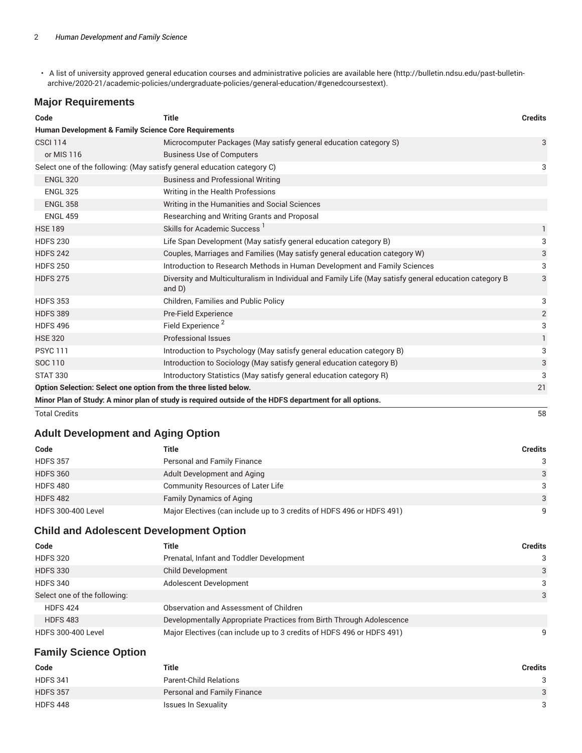• A list of university approved general education courses and administrative policies are available here (http://bulletin.ndsu.edu/past-bulletinarchive/2020-21/academic-policies/undergraduate-policies/general-education/#genedcoursestext).

## **Major Requirements**

| Code                                                                                                   | <b>Title</b>                                                                                                        | <b>Credits</b> |  |
|--------------------------------------------------------------------------------------------------------|---------------------------------------------------------------------------------------------------------------------|----------------|--|
| <b>Human Development &amp; Family Science Core Requirements</b>                                        |                                                                                                                     |                |  |
| <b>CSCI 114</b>                                                                                        | Microcomputer Packages (May satisfy general education category S)                                                   | 3              |  |
| or MIS 116                                                                                             | <b>Business Use of Computers</b>                                                                                    |                |  |
| Select one of the following: (May satisfy general education category C)                                |                                                                                                                     | 3              |  |
| <b>ENGL 320</b>                                                                                        | <b>Business and Professional Writing</b>                                                                            |                |  |
| <b>ENGL 325</b>                                                                                        | Writing in the Health Professions                                                                                   |                |  |
| <b>ENGL 358</b>                                                                                        | Writing in the Humanities and Social Sciences                                                                       |                |  |
| <b>ENGL 459</b>                                                                                        | Researching and Writing Grants and Proposal                                                                         |                |  |
| <b>HSE 189</b>                                                                                         | Skills for Academic Success <sup>1</sup>                                                                            | 1              |  |
| <b>HDFS 230</b>                                                                                        | Life Span Development (May satisfy general education category B)                                                    | 3              |  |
| <b>HDFS 242</b>                                                                                        | Couples, Marriages and Families (May satisfy general education category W)                                          | 3              |  |
| <b>HDFS 250</b>                                                                                        | Introduction to Research Methods in Human Development and Family Sciences                                           | 3              |  |
| <b>HDFS 275</b>                                                                                        | Diversity and Multiculturalism in Individual and Family Life (May satisfy general education category B<br>and $D$ ) | 3              |  |
| <b>HDFS 353</b>                                                                                        | Children, Families and Public Policy                                                                                | 3              |  |
| <b>HDFS 389</b>                                                                                        | Pre-Field Experience                                                                                                | $\sqrt{2}$     |  |
| <b>HDFS 496</b>                                                                                        | Field Experience <sup>2</sup>                                                                                       | 3              |  |
| <b>HSE 320</b>                                                                                         | Professional Issues                                                                                                 | 1              |  |
| <b>PSYC 111</b>                                                                                        | Introduction to Psychology (May satisfy general education category B)                                               | 3              |  |
| SOC 110                                                                                                | Introduction to Sociology (May satisfy general education category B)                                                | 3              |  |
| <b>STAT 330</b>                                                                                        | Introductory Statistics (May satisfy general education category R)                                                  | 3              |  |
| Option Selection: Select one option from the three listed below.                                       |                                                                                                                     |                |  |
| Minor Plan of Study: A minor plan of study is required outside of the HDFS department for all options. |                                                                                                                     |                |  |

Total Credits 58

## **Adult Development and Aging Option**

| Code                      | Title                                                                 | Credits      |
|---------------------------|-----------------------------------------------------------------------|--------------|
| <b>HDFS 357</b>           | Personal and Family Finance                                           | 3            |
| <b>HDFS 360</b>           | Adult Development and Aging                                           | $\mathbf{3}$ |
| <b>HDFS 480</b>           | <b>Community Resources of Later Life</b>                              | 3            |
| <b>HDFS 482</b>           | <b>Family Dynamics of Aging</b>                                       | 3            |
| <b>HDFS 300-400 Level</b> | Major Electives (can include up to 3 credits of HDFS 496 or HDFS 491) | q            |

# **Child and Adolescent Development Option**

| Code                         | Title                                                                 | <b>Credits</b> |
|------------------------------|-----------------------------------------------------------------------|----------------|
| <b>HDFS 320</b>              | Prenatal, Infant and Toddler Development                              | 3              |
| <b>HDFS 330</b>              | <b>Child Development</b>                                              | 3              |
| <b>HDFS 340</b>              | Adolescent Development                                                | 3              |
| Select one of the following: |                                                                       | 3              |
| <b>HDFS 424</b>              | Observation and Assessment of Children                                |                |
| <b>HDFS 483</b>              | Developmentally Appropriate Practices from Birth Through Adolescence  |                |
| <b>HDFS 300-400 Level</b>    | Major Electives (can include up to 3 credits of HDFS 496 or HDFS 491) | 9              |

# **Family Science Option**

| Code            | Title                         | Credits      |
|-----------------|-------------------------------|--------------|
| <b>HDFS 341</b> | <b>Parent-Child Relations</b> | 3            |
| <b>HDFS 357</b> | Personal and Family Finance   | $\mathbf{3}$ |
| <b>HDFS 448</b> | Issues In Sexuality           | 3            |